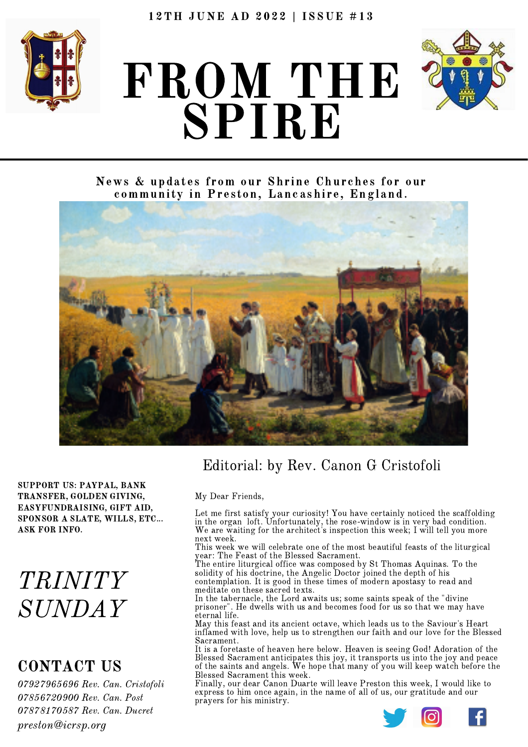

# FROM THE SPIRE



News & updates from our Shrine Churches for our community in Preston, Lancashire, England.



SUPPORT US: PAYPAL, BANK TRANSFER, GOLDEN GIVING, EASYFUNDRAISING, GIFT AID, SPONSOR A SLATE, WILLS, ETC... ASK FOR INFO.

## TRINITY SUNDAY

### CONTACT US

 Rev. Can. Cristofoli Rev. Can. Post Rev. Can. Ducret preston@icrsp.org

### Editorial: by Rev. Canon G Cristofoli

#### My Dear Friends,

Let me first satisfy your curiosity! You have certainly noticed the scaffolding in the organ loft. Unfortunately, the rose-window is in very bad condition. We are waiting for the architect's inspection this week; <sup>I</sup> will tell you more next week.

This week we will celebrate one of the most beautiful feasts of the liturgical year: The Feast of the Blessed Sacrament.

The entire liturgical office was composed by St Thomas Aquinas. To the solidity of his doctrine, the Angelic Doctor joined the depth of his contemplation. It is good in these times of modern apostasy to read and meditate on these sacred texts.

In the tabernacle, the Lord awaits us; some saints speak of the "divine prisoner". He dwells with us and becomes food for us so that we may have eternal life.<br>May this feast and its ancient octave, which leads us to the Saviour's Heart

inflamed with love, help us to strengthen our faith and our love for the Blessed Sacrament.

It is a foretaste of heaven here below. Heaven is seeing God! Adoration of the Blessed Sacrament anticipates this joy, it transports us into the joy and peace of the saints and angels. We hope that many of you will keep watch before the Blessed Sacrament this week.

Finally, our dear Canon Duarte will leave Preston this week, I would like to express to him once again, in the name of all of us, our gratitude and our prayers for his ministry.

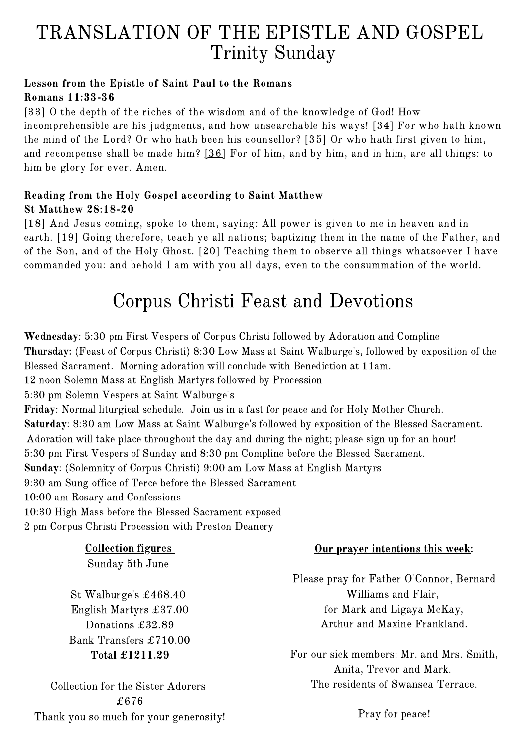### TRANSLATION OF THE EPISTLE AND GOSPEL Trinity Sunday

#### Lesson from the Epistle of Saint Paul to the Romans Romans 11:33-36

[\[33\]](http://www.drbo.org/cgi-bin/d?b=drb&bk=52&ch=11&l=33-#x) O the depth of the riches of the wisdom and of the knowledge of God! How incomprehensible are his judgments, and how unsearchable his ways! [\[34\]](http://www.drbo.org/cgi-bin/d?b=drb&bk=52&ch=11&l=34-#x) For who hath known the mind of the Lord? Or who hath been his counsellor? [\[35\]](http://www.drbo.org/cgi-bin/d?b=drb&bk=52&ch=11&l=35-#x) Or who hath first given to him, and recompense shall be made him? [\[36\]](http://www.drbo.org/cgi-bin/d?b=drb&bk=52&ch=11&l=36-#x) For of him, and by him, and in him, are all things: to him be glory for ever. Amen.

#### Reading from the Holy Gospel according to Saint Matthew St Matthew 28:18-20

[\[18\]](http://www.drbo.org/cgi-bin/d?b=drb&bk=47&ch=28&l=18-#x) And Jesus coming, spoke to them, saying: All power is given to me in heaven and in earth. [\[19\]](http://www.drbo.org/cgi-bin/d?b=drb&bk=47&ch=28&l=19-#x) Going therefore, teach ye all nations; baptizing them in the name of the Father, and of the Son, and of the Holy Ghost. [\[20\]](http://www.drbo.org/cgi-bin/d?b=drb&bk=47&ch=28&l=20-#x) Teaching them to observe all things whatsoever I have commanded you: and behold I am with you all days, even to the consummation of the world.

### Corpus Christi Feast and Devotions

Wednesday: 5:30 pm First Vespers of Corpus Christi followed by Adoration and Compline Thursday: (Feast of Corpus Christi) 8:30 Low Mass at Saint Walburge's, followed by exposition of the Blessed Sacrament. Morning adoration will conclude with Benediction at 11am. 12 noon Solemn Mass at English Martyrs followed by Procession 5:30 pm Solemn Vespers at Saint Walburge's Friday: Normal liturgical schedule. Join us in a fast for peace and for Holy Mother Church. Saturday: 8:30 am Low Mass at Saint Walburge's followed by exposition of the Blessed Sacrament. Adoration will take place throughout the day and during the night; please sign up for an hour! 5:30 pm First Vespers of Sunday and 8:30 pm Compline before the Blessed Sacrament. Sunday: (Solemnity of Corpus Christi) 9:00 am Low Mass at English Martyrs 9:30 am Sung office of Terce before the Blessed Sacrament 10:00 am Rosary and Confessions 10:30 High Mass before the Blessed Sacrament exposed

2 pm Corpus Christi Procession with Preston Deanery

Collection figures

Sunday 5th June

St Walburge's £468.40 English Martyrs £37.00 Donations £32.89 Bank Transfers £710.00 Total £1211.29

Collection for the Sister Adorers £676 Thank you so much for your generosity!

#### Our prayer intentions this week:

Please pray for Father O'Connor, Bernard Williams and Flair, for Mark and Ligaya McKay, Arthur and Maxine Frankland.

For our sick members: Mr. and Mrs. Smith, Anita, Trevor and Mark. The residents of Swansea Terrace.

Pray for peace!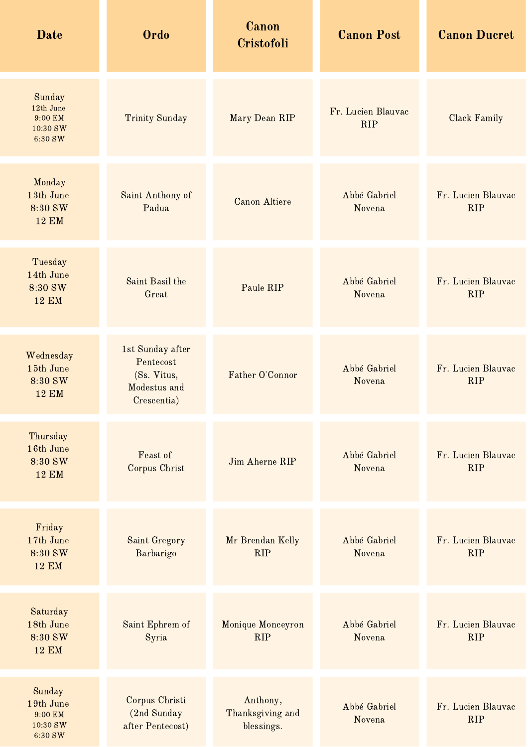| <b>Date</b>                                           | Ordo                                                                        | Canon<br>Cristofoli                        | <b>Canon Post</b>                | <b>Canon Ducret</b>              |
|-------------------------------------------------------|-----------------------------------------------------------------------------|--------------------------------------------|----------------------------------|----------------------------------|
| Sunday<br>12th June<br>9:00 EM<br>10:30 SW<br>6:30 SW | <b>Trinity Sunday</b>                                                       | Mary Dean RIP                              | Fr. Lucien Blauvac<br><b>RIP</b> | <b>Clack Family</b>              |
| Monday<br>13th June<br>8:30 SW<br><b>12 EM</b>        | Saint Anthony of<br>Padua                                                   | <b>Canon Altiere</b>                       | Abbé Gabriel<br>Novena           | Fr. Lucien Blauvac<br><b>RIP</b> |
| Tuesday<br>14th June<br>8:30 SW<br><b>12 EM</b>       | Saint Basil the<br>Great                                                    | Paule RIP                                  | Abbé Gabriel<br>Novena           | Fr. Lucien Blauvac<br><b>RIP</b> |
| Wednesday<br>15th June<br>8:30 SW<br><b>12 EM</b>     | 1st Sunday after<br>Pentecost<br>(Ss. Vitus,<br>Modestus and<br>Crescentia) | Father O'Connor                            | Abbé Gabriel<br>Novena           | Fr. Lucien Blauvac<br><b>RIP</b> |
| Thursday<br>16th June<br>8:30 SW<br><b>12 EM</b>      | Feast of<br>Corpus Christ                                                   | Jim Aherne RIP                             | Abbé Gabriel<br>Novena           | Fr. Lucien Blauvac<br><b>RIP</b> |
| Friday<br>17th June<br>8:30 SW<br><b>12 EM</b>        | Saint Gregory<br>Barbarigo                                                  | Mr Brendan Kelly<br><b>RIP</b>             | Abbé Gabriel<br>Novena           | Fr. Lucien Blauvac<br><b>RIP</b> |
| Saturday<br>18th June<br>8:30 SW<br><b>12 EM</b>      | Saint Ephrem of<br>Syria                                                    | Monique Monceyron<br><b>RIP</b>            | Abbé Gabriel<br>Novena           | Fr. Lucien Blauvac<br><b>RIP</b> |
| Sunday<br>19th June<br>9:00 EM<br>10:30 SW<br>6:30 SW | Corpus Christi<br>(2nd Sunday<br>after Pentecost)                           | Anthony,<br>Thanksgiving and<br>blessings. | Abbé Gabriel<br>Novena           | Fr. Lucien Blauvac<br><b>RIP</b> |